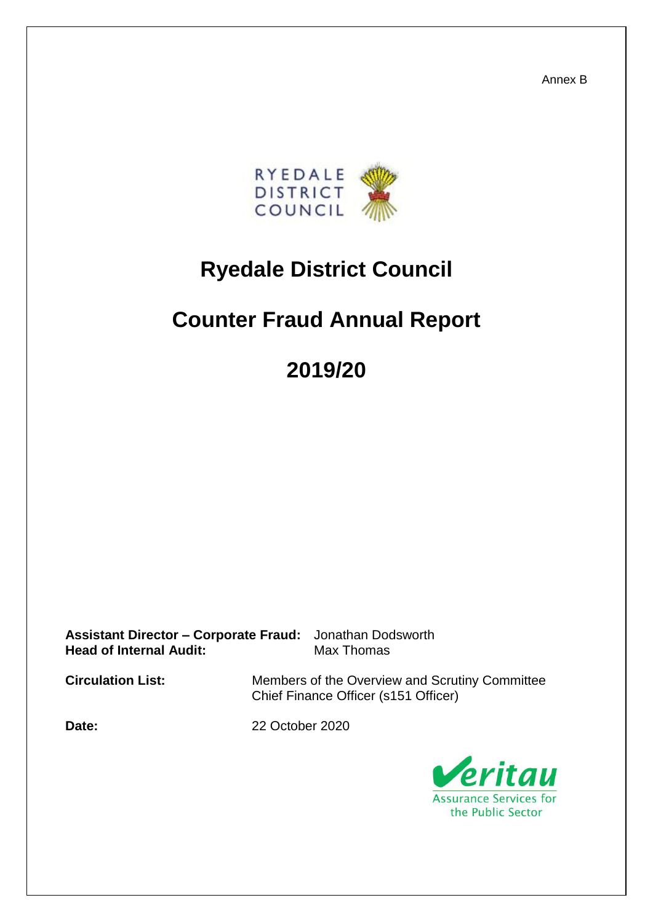Annex B



## **Ryedale District Council**

## **Counter Fraud Annual Report**

# **2019/20**

**Assistant Director – Corporate Fraud:** Jonathan Dodsworth **Head of Internal Audit:** Max Thomas

**Circulation List:** Members of the Overview and Scrutiny Committee Chief Finance Officer (s151 Officer)

**Date:** 22 October 2020

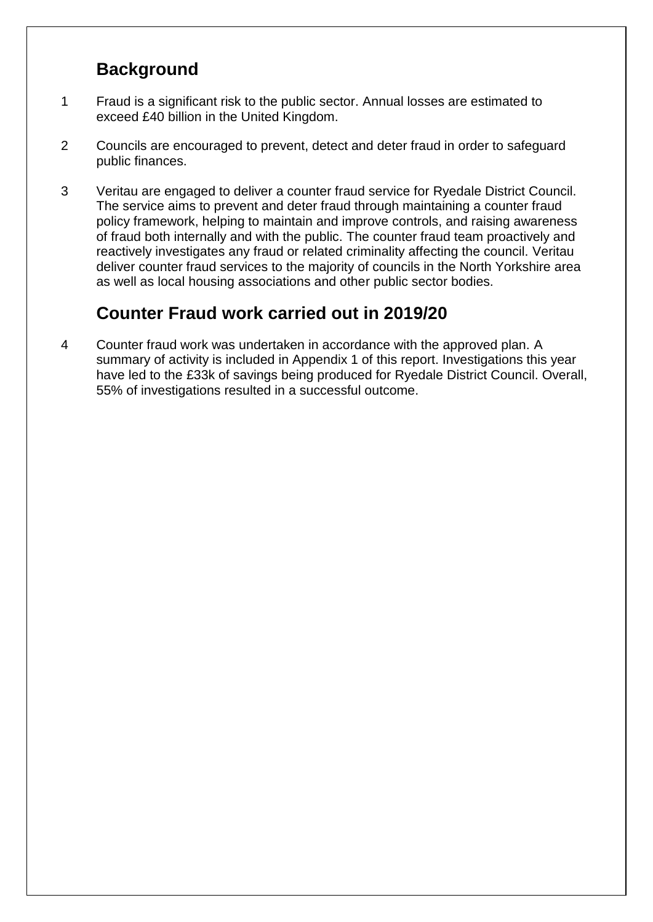### **Background**

- 1 Fraud is a significant risk to the public sector. Annual losses are estimated to exceed £40 billion in the United Kingdom.
- 2 Councils are encouraged to prevent, detect and deter fraud in order to safeguard public finances.
- 3 Veritau are engaged to deliver a counter fraud service for Ryedale District Council. The service aims to prevent and deter fraud through maintaining a counter fraud policy framework, helping to maintain and improve controls, and raising awareness of fraud both internally and with the public. The counter fraud team proactively and reactively investigates any fraud or related criminality affecting the council. Veritau deliver counter fraud services to the majority of councils in the North Yorkshire area as well as local housing associations and other public sector bodies.

### **Counter Fraud work carried out in 2019/20**

4 Counter fraud work was undertaken in accordance with the approved plan. A summary of activity is included in Appendix 1 of this report. Investigations this year have led to the £33k of savings being produced for Ryedale District Council. Overall, 55% of investigations resulted in a successful outcome.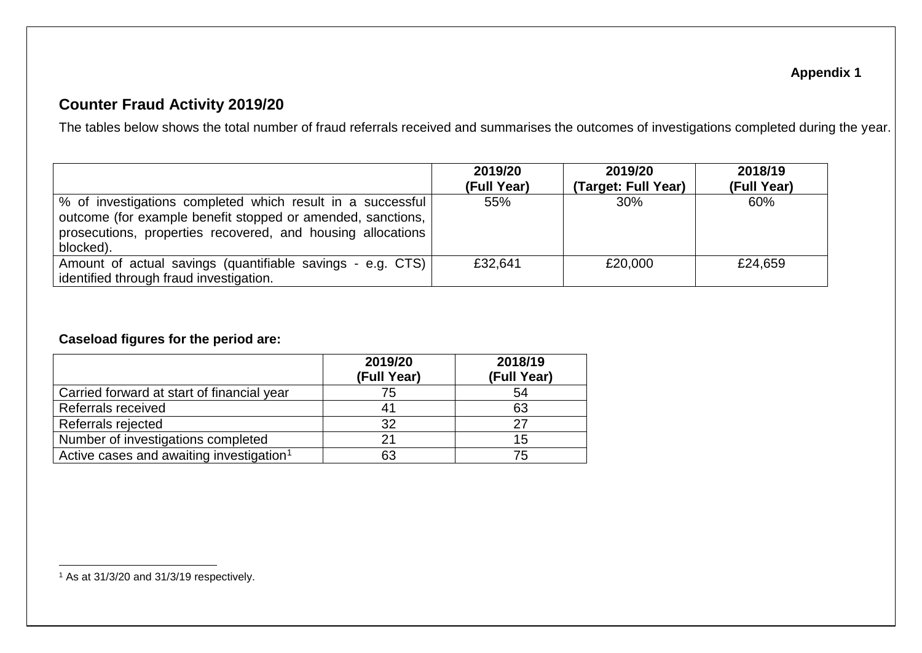#### **Appendix 1**

#### **Counter Fraud Activity 2019/20**

The tables below shows the total number of fraud referrals received and summarises the outcomes of investigations completed during the year.

|                                                                                                                                                                                                       | 2019/20<br>(Full Year) | 2019/20<br>(Target: Full Year) | 2018/19<br>(Full Year) |
|-------------------------------------------------------------------------------------------------------------------------------------------------------------------------------------------------------|------------------------|--------------------------------|------------------------|
| % of investigations completed which result in a successful<br>outcome (for example benefit stopped or amended, sanctions,<br>prosecutions, properties recovered, and housing allocations<br>blocked). | 55%                    | 30%                            | 60%                    |
| Amount of actual savings (quantifiable savings - e.g. CTS)<br>identified through fraud investigation.                                                                                                 | £32,641                | £20,000                        | £24,659                |

#### **Caseload figures for the period are:**

|                                                      | 2019/20<br>(Full Year) | 2018/19<br>(Full Year) |
|------------------------------------------------------|------------------------|------------------------|
| Carried forward at start of financial year           | 75                     | 54                     |
| Referrals received                                   |                        | 63                     |
| Referrals rejected                                   | 32                     | 27                     |
| Number of investigations completed                   |                        | 15                     |
| Active cases and awaiting investigation <sup>1</sup> | 63                     | 75                     |

 $\overline{a}$  $1$  As at 31/3/20 and 31/3/19 respectively.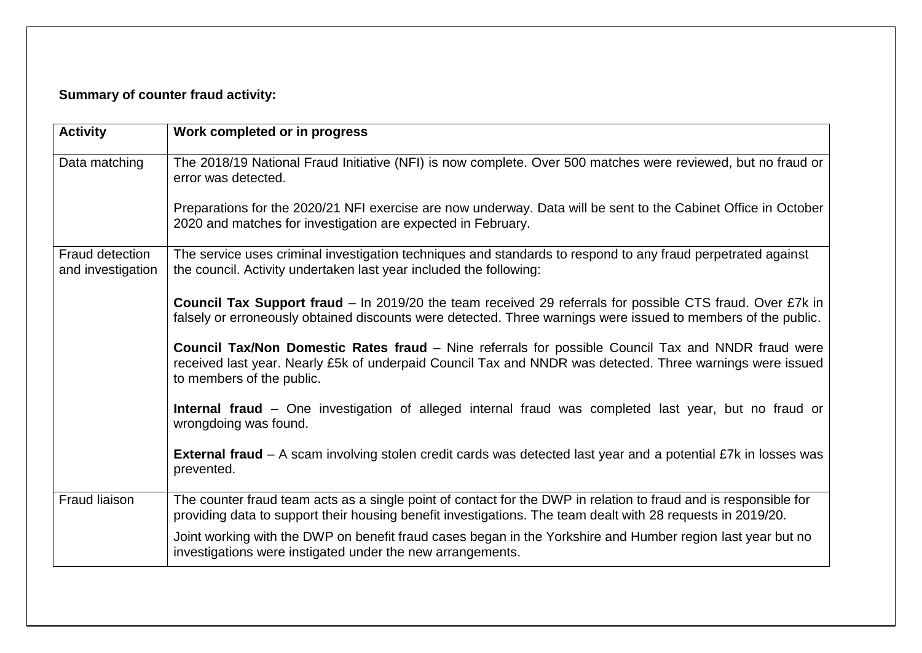#### **Summary of counter fraud activity:**

| <b>Activity</b>                      | Work completed or in progress                                                                                                                                                                                                                       |
|--------------------------------------|-----------------------------------------------------------------------------------------------------------------------------------------------------------------------------------------------------------------------------------------------------|
| Data matching                        | The 2018/19 National Fraud Initiative (NFI) is now complete. Over 500 matches were reviewed, but no fraud or<br>error was detected.                                                                                                                 |
|                                      | Preparations for the 2020/21 NFI exercise are now underway. Data will be sent to the Cabinet Office in October<br>2020 and matches for investigation are expected in February.                                                                      |
| Fraud detection<br>and investigation | The service uses criminal investigation techniques and standards to respond to any fraud perpetrated against<br>the council. Activity undertaken last year included the following:                                                                  |
|                                      | <b>Council Tax Support fraud</b> – In 2019/20 the team received 29 referrals for possible CTS fraud. Over £7k in<br>falsely or erroneously obtained discounts were detected. Three warnings were issued to members of the public.                   |
|                                      | <b>Council Tax/Non Domestic Rates fraud - Nine referrals for possible Council Tax and NNDR fraud were</b><br>received last year. Nearly £5k of underpaid Council Tax and NNDR was detected. Three warnings were issued<br>to members of the public. |
|                                      | Internal fraud – One investigation of alleged internal fraud was completed last year, but no fraud or<br>wrongdoing was found.                                                                                                                      |
|                                      | <b>External fraud</b> – A scam involving stolen credit cards was detected last year and a potential £7k in losses was<br>prevented.                                                                                                                 |
| <b>Fraud liaison</b>                 | The counter fraud team acts as a single point of contact for the DWP in relation to fraud and is responsible for<br>providing data to support their housing benefit investigations. The team dealt with 28 requests in 2019/20.                     |
|                                      | Joint working with the DWP on benefit fraud cases began in the Yorkshire and Humber region last year but no<br>investigations were instigated under the new arrangements.                                                                           |